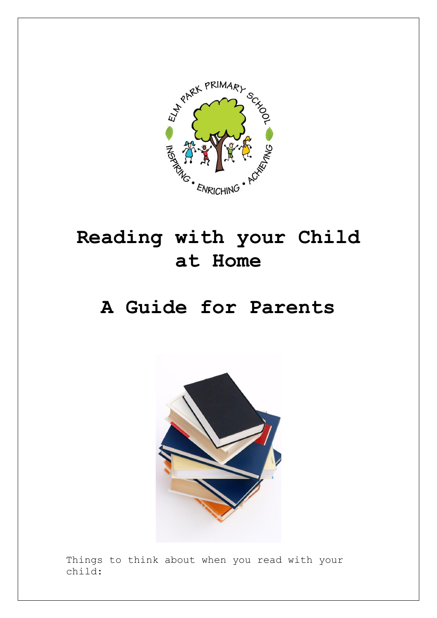

## **Reading with your Child at Home**

## **A Guide for Parents**



Things to think about when you read with your child: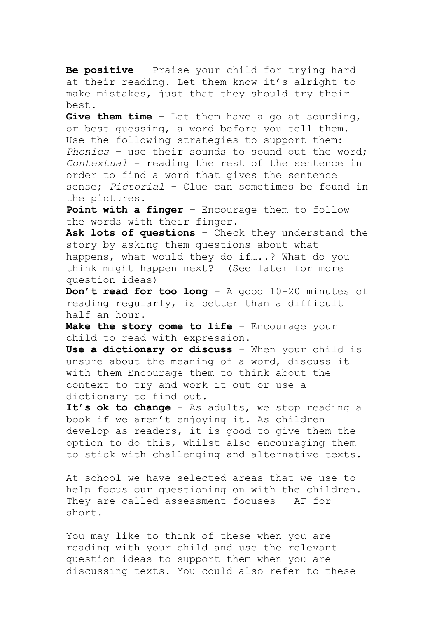**Be positive** – Praise your child for trying hard at their reading. Let them know it's alright to make mistakes, just that they should try their best.

**Give them time** – Let them have a go at sounding, or best guessing, a word before you tell them. Use the following strategies to support them: *Phonics* – use their sounds to sound out the word; *Contextual* – reading the rest of the sentence in order to find a word that gives the sentence sense; *Pictorial* – Clue can sometimes be found in the pictures.

**Point with a finger** – Encourage them to follow the words with their finger.

**Ask lots of questions** – Check they understand the story by asking them questions about what happens, what would they do if…..? What do you think might happen next? (See later for more question ideas)

**Don't read for too long** – A good 10-20 minutes of reading regularly, is better than a difficult half an hour.

Make the story come to life - Encourage your child to read with expression.

**Use a dictionary or discuss** – When your child is unsure about the meaning of a word, discuss it with them Encourage them to think about the context to try and work it out or use a dictionary to find out.

**It's ok to change** – As adults, we stop reading a book if we aren't enjoying it. As children develop as readers, it is good to give them the option to do this, whilst also encouraging them to stick with challenging and alternative texts.

At school we have selected areas that we use to help focus our questioning on with the children. They are called assessment focuses – AF for short.

You may like to think of these when you are reading with your child and use the relevant question ideas to support them when you are discussing texts. You could also refer to these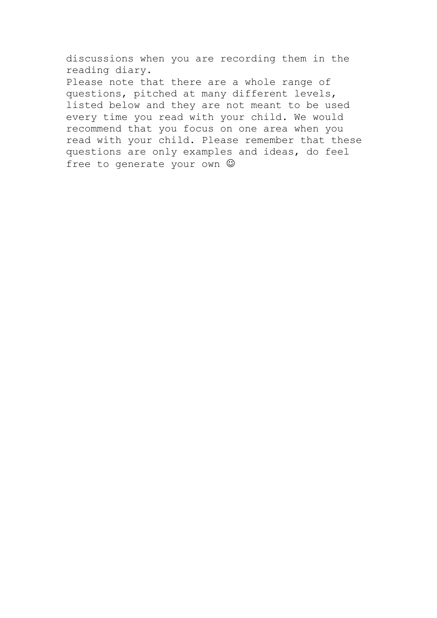discussions when you are recording them in the reading diary.

Please note that there are a whole range of questions, pitched at many different levels, listed below and they are not meant to be used every time you read with your child. We would recommend that you focus on one area when you read with your child. Please remember that these questions are only examples and ideas, do feel free to generate your own  $\odot$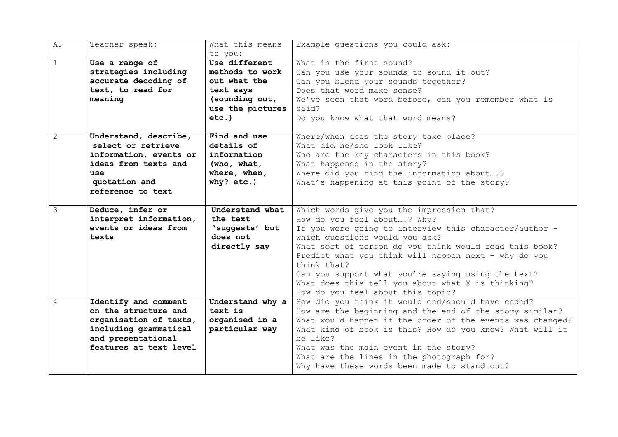| AF             | Teacher speak:         | What this means<br>to you: | Example questions you could ask:                          |
|----------------|------------------------|----------------------------|-----------------------------------------------------------|
|                |                        |                            |                                                           |
| $\mathbf{1}$   | Use a range of         | Use different              | What is the first sound?                                  |
|                | strategies including   | methods to work            | Can you use your sounds to sound it out?                  |
|                | accurate decoding of   | out what the               | Can you blend your sounds together?                       |
|                | text, to read for      | text says                  | Does that word make sense?                                |
|                | meaning                | (sounding out,             | We've seen that word before, can you remember what is     |
|                |                        | use the pictures           | said?                                                     |
|                |                        | $etc.$ )                   | Do you know what that word means?                         |
|                |                        |                            |                                                           |
| $\overline{2}$ | Understand, describe,  | Find and use               | Where/when does the story take place?                     |
|                | select or retrieve     | details of                 | What did he/she look like?                                |
|                | information, events or | information                | Who are the key characters in this book?                  |
|                | ideas from texts and   | (who, what,                | What happened in the story?                               |
|                | use                    |                            |                                                           |
|                |                        | where, when,               | Where did you find the information about?                 |
|                | quotation and          | why? $etc.$ )              | What's happening at this point of the story?              |
|                | reference to text      |                            |                                                           |
|                |                        |                            |                                                           |
| 3              | Deduce, infer or       | Understand what            | Which words give you the impression that?                 |
|                | interpret information, | the text                   | How do you feel about? Why?                               |
|                | events or ideas from   | 'suggests' but             | If you were going to interview this character/author -    |
|                | texts                  | does not                   | which questions would you ask?                            |
|                |                        | directly say               | What sort of person do you think would read this book?    |
|                |                        |                            | Predict what you think will happen next - why do you      |
|                |                        |                            | think that?                                               |
|                |                        |                            |                                                           |
|                |                        |                            | Can you support what you're saying using the text?        |
|                |                        |                            | What does this tell you about what X is thinking?         |
|                |                        |                            | How do you feel about this topic?                         |
| 4              | Identify and comment   | Understand why a           | How did you think it would end/should have ended?         |
|                | on the structure and   | text is                    | How are the beginning and the end of the story similar?   |
|                | organisation of texts, | organised in a             | What would happen if the order of the events was changed? |
|                | including grammatical  | particular way             | What kind of book is this? How do you know? What will it  |
|                | and presentational     |                            | be like?                                                  |
|                | features at text level |                            | What was the main event in the story?                     |
|                |                        |                            | What are the lines in the photograph for?                 |
|                |                        |                            | Why have these words been made to stand out?              |
|                |                        |                            |                                                           |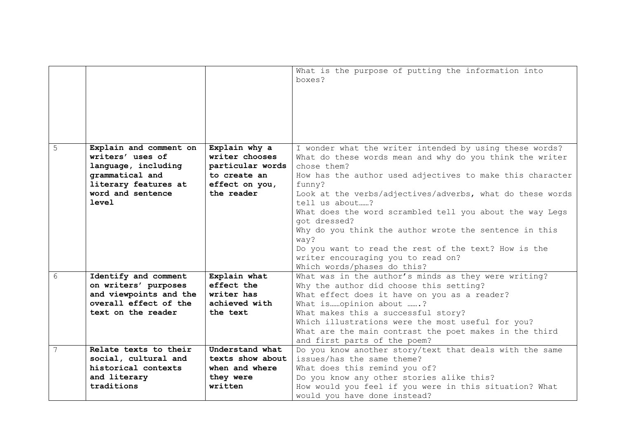|   |                        |                  | What is the purpose of putting the information into<br>boxes? |
|---|------------------------|------------------|---------------------------------------------------------------|
|   |                        |                  |                                                               |
|   |                        |                  |                                                               |
|   |                        |                  |                                                               |
| 5 | Explain and comment on | Explain why a    | I wonder what the writer intended by using these words?       |
|   | writers' uses of       | writer chooses   | What do these words mean and why do you think the writer      |
|   | language, including    | particular words | chose them?                                                   |
|   | grammatical and        | to create an     | How has the author used adjectives to make this character     |
|   | literary features at   | effect on you,   | funny?                                                        |
|   | word and sentence      | the reader       | Look at the verbs/adjectives/adverbs, what do these words     |
|   | <b>level</b>           |                  | tell us about?                                                |
|   |                        |                  | What does the word scrambled tell you about the way Legs      |
|   |                        |                  | got dressed?                                                  |
|   |                        |                  | Why do you think the author wrote the sentence in this        |
|   |                        |                  | way?                                                          |
|   |                        |                  | Do you want to read the rest of the text? How is the          |
|   |                        |                  | writer encouraging you to read on?                            |
|   |                        |                  | Which words/phases do this?                                   |
| 6 | Identify and comment   | Explain what     | What was in the author's minds as they were writing?          |
|   | on writers' purposes   | effect the       | Why the author did choose this setting?                       |
|   | and viewpoints and the | writer has       | What effect does it have on you as a reader?                  |
|   | overall effect of the  | achieved with    | What isopinion about ?                                        |
|   | text on the reader     | the text         | What makes this a successful story?                           |
|   |                        |                  | Which illustrations were the most useful for you?             |
|   |                        |                  | What are the main contrast the poet makes in the third        |
|   |                        |                  | and first parts of the poem?                                  |
| 7 | Relate texts to their  | Understand what  | Do you know another story/text that deals with the same       |
|   | social, cultural and   | texts show about | issues/has the same theme?                                    |
|   | historical contexts    | when and where   | What does this remind you of?                                 |
|   | and literary           | they were        | Do you know any other stories alike this?                     |
|   | traditions             | written          | How would you feel if you were in this situation? What        |
|   |                        |                  | would you have done instead?                                  |